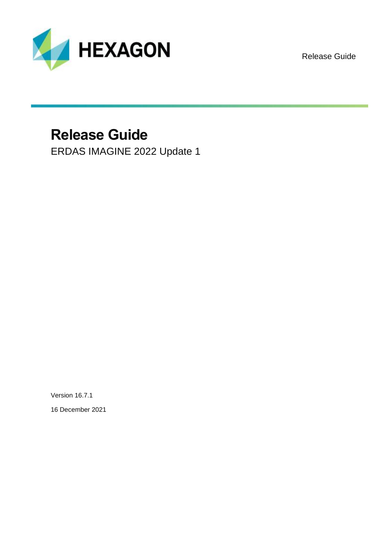

Release Guide

# **Release Guide**

ERDAS IMAGINE 2022 Update 1

Version 16.7.1

16 December 2021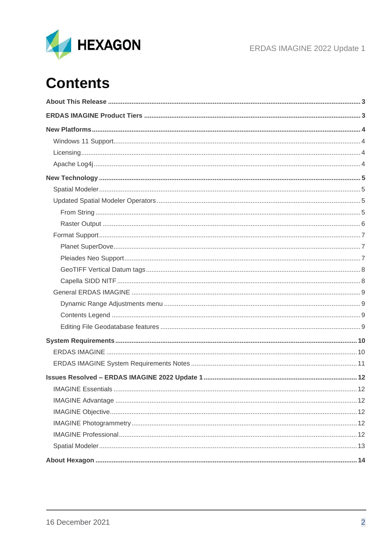

ERDAS IMAGINE 2022 Update 1

# **Contents**

<span id="page-1-0"></span>

| <b>IMAGINE Essentials.</b> | .12 |
|----------------------------|-----|
|                            |     |
|                            |     |
|                            |     |
|                            |     |
|                            |     |
|                            |     |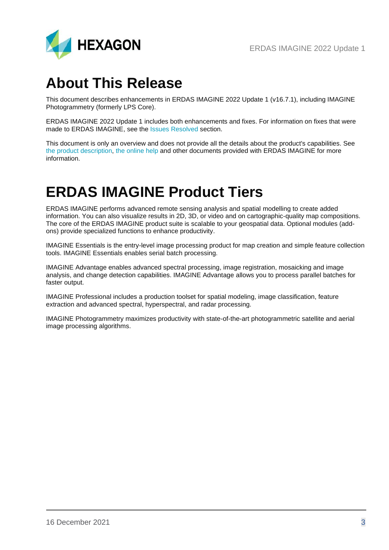

## **About This Release**

This document describes enhancements in ERDAS IMAGINE 2022 Update 1 (v16.7.1), including IMAGINE Photogrammetry (formerly LPS Core).

ERDAS IMAGINE 2022 Update 1 includes both enhancements and fixes. For information on fixes that were made to ERDAS IMAGINE, see the [Issues Resolved](#page-11-0) section.

This document is only an overview and does not provide all the details about the product's capabilities. See [the product description,](https://bynder.hexagon.com/m/6bf1883159f4b61f/original/Hexagon_GSP_ERDAS_IMAGINE_Product_description_2022.pdf) [the online help](https://hexagongeospatial.fluidtopics.net/search/all?filters=HGD_Product~%2522ERDAS+IMAGINE%2522&content-lang=en-US) and other documents provided with ERDAS IMAGINE for more information.

## <span id="page-2-0"></span>**ERDAS IMAGINE Product Tiers**

ERDAS IMAGINE performs advanced remote sensing analysis and spatial modelling to create added information. You can also visualize results in 2D, 3D, or video and on cartographic-quality map compositions. The core of the ERDAS IMAGINE product suite is scalable to your geospatial data. Optional modules (addons) provide specialized functions to enhance productivity.

IMAGINE Essentials is the entry-level image processing product for map creation and simple feature collection tools. IMAGINE Essentials enables serial batch processing.

IMAGINE Advantage enables advanced spectral processing, image registration, mosaicking and image analysis, and change detection capabilities. IMAGINE Advantage allows you to process parallel batches for faster output.

IMAGINE Professional includes a production toolset for spatial modeling, image classification, feature extraction and advanced spectral, hyperspectral, and radar processing.

IMAGINE Photogrammetry maximizes productivity with state-of-the-art photogrammetric satellite and aerial image processing algorithms.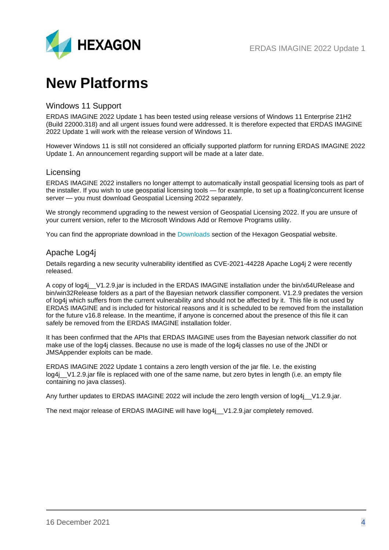## <span id="page-3-0"></span>**New Platforms**

#### <span id="page-3-1"></span>Windows 11 Support

ERDAS IMAGINE 2022 Update 1 has been tested using release versions of Windows 11 Enterprise 21H2 (Build 22000.318) and all urgent issues found were addressed. It is therefore expected that ERDAS IMAGINE 2022 Update 1 will work with the release version of Windows 11.

However Windows 11 is still not considered an officially supported platform for running ERDAS IMAGINE 2022 Update 1. An announcement regarding support will be made at a later date.

#### <span id="page-3-2"></span>Licensing

ERDAS IMAGINE 2022 installers no longer attempt to automatically install geospatial licensing tools as part of the installer. If you wish to use geospatial licensing tools — for example, to set up a floating/concurrent license server — you must download Geospatial Licensing 2022 separately.

We strongly recommend upgrading to the newest version of Geospatial Licensing 2022. If you are unsure of your current version, refer to the Microsoft Windows Add or Remove Programs utility.

You can find the appropriate download in the [Downloads](https://download.hexagongeospatial.com/search?lang=en&product=b3b4786d3d4742ae8d1e7aeee50dae69) section of the Hexagon Geospatial website.

#### <span id="page-3-3"></span>Apache Log4j

Details regarding a new security vulnerability identified as CVE-2021-44228 Apache Log4j 2 were recently released.

A copy of log4j\_\_V1.2.9.jar is included in the ERDAS IMAGINE installation under the bin/x64URelease and bin/win32Release folders as a part of the Bayesian network classifier component. V1.2.9 predates the version of log4j which suffers from the current vulnerability and should not be affected by it. This file is not used by ERDAS IMAGINE and is included for historical reasons and it is scheduled to be removed from the installation for the future v16.8 release. In the meantime, if anyone is concerned about the presence of this file it can safely be removed from the ERDAS IMAGINE installation folder.

It has been confirmed that the APIs that ERDAS IMAGINE uses from the Bayesian network classifier do not make use of the log4j classes. Because no use is made of the log4j classes no use of the JNDI or JMSAppender exploits can be made.

ERDAS IMAGINE 2022 Update 1 contains a zero length version of the jar file. I.e. the existing log4j\_V1.2.9.jar file is replaced with one of the same name, but zero bytes in length (i.e. an empty file containing no java classes).

Any further updates to ERDAS IMAGINE 2022 will include the zero length version of log4j V1.2.9.jar.

The next major release of ERDAS IMAGINE will have  $log4j$  V1.2.9.jar completely removed.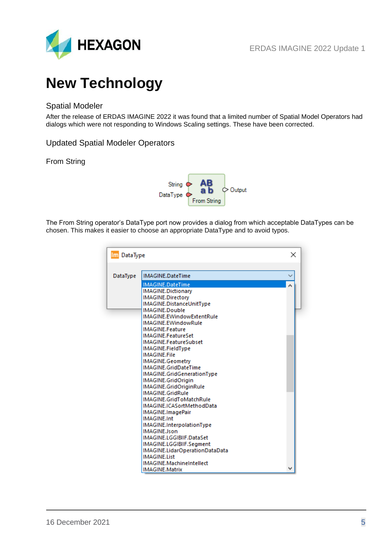

# <span id="page-4-0"></span>**New Technology**

## <span id="page-4-1"></span>Spatial Modeler

After the release of ERDAS IMAGINE 2022 it was found that a limited number of Spatial Model Operators had dialogs which were not responding to Windows Scaling settings. These have been corrected.

<span id="page-4-2"></span>Updated Spatial Modeler Operators

#### <span id="page-4-3"></span>From String



The From String operator's DataType port now provides a dialog from which acceptable DataTypes can be chosen. This makes it easier to choose an appropriate DataType and to avoid typos.

| Im DataType |                                            | × |  |
|-------------|--------------------------------------------|---|--|
| DataType    | IMAGINE.DateTime                           |   |  |
|             | IMAGINE.DateTime                           | Á |  |
|             | <b>IMAGINE.Dictionary</b>                  |   |  |
|             | IMAGINE.Directory                          |   |  |
|             | IMAGINE.DistanceUnitType                   |   |  |
|             | IMAGINE.Double                             |   |  |
|             | IMAGINE.EWindowExtentRule                  |   |  |
|             | IMAGINE.EWindowRule                        |   |  |
|             | <b>IMAGINE.Feature</b>                     |   |  |
|             | IMAGINE.FeatureSet                         |   |  |
|             | IMAGINE.FeatureSubset                      |   |  |
|             | IMAGINE.FieldType                          |   |  |
|             | <b>IMAGINE.File</b>                        |   |  |
|             | IMAGINE.Geometry                           |   |  |
|             | IMAGINE.GridDateTime                       |   |  |
|             | IMAGINE.GridGenerationType                 |   |  |
|             | IMAGINE.GridOrigin                         |   |  |
|             | IMAGINE.GridOriginRule<br>IMAGINE.GridRule |   |  |
|             | IMAGINE.GridToMatchRule                    |   |  |
|             | IMAGINE.ICASortMethodData                  |   |  |
|             | IMAGINE.ImagePair                          |   |  |
|             | <b>IMAGINE.Int</b>                         |   |  |
|             | IMAGINE.InterpolationType                  |   |  |
|             | <b>IMAGINE.Ison</b>                        |   |  |
|             | IMAGINE.LGGIBIIF.DataSet                   |   |  |
|             | IMAGINE.LGGIBIIF.Segment                   |   |  |
|             | IMAGINE.LidarOperationDataData             |   |  |
|             | <b>IMAGINE.List</b>                        |   |  |
|             | IMAGINE.MachineIntellect                   |   |  |
|             | <b>IMAGINE.Matrix</b>                      |   |  |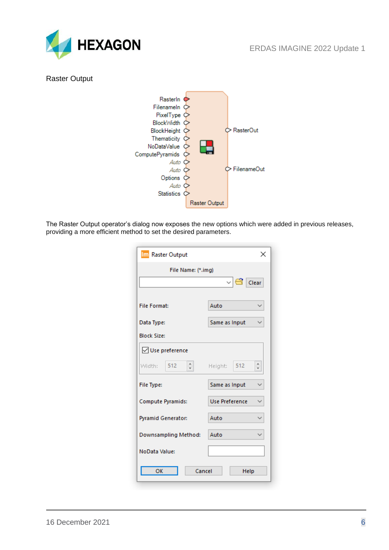

#### <span id="page-5-0"></span>Raster Output



The Raster Output operator's dialog now exposes the new options which were added in previous releases, providing a more efficient method to set the desired parameters.

| Im Raster Output                  | ×                                  |
|-----------------------------------|------------------------------------|
| File Name: (*.img)                |                                    |
|                                   | $\vee$ $\bigoplus$ Clear           |
| <b>File Format:</b>               | Auto                               |
| Data Type:                        | Same as Input                      |
| <b>Block Size:</b>                |                                    |
| <b>V</b> Use preference           |                                    |
| $\frac{1}{\tau}$<br>512<br>Width: | $\frac{1}{\tau}$<br>512<br>Height: |
| File Type:                        | Same as Input                      |
| Compute Pyramids:                 | Use Preference                     |
| Pyramid Generator:                | Auto                               |
| Downsampling Method:              | Auto                               |
| NoData Value:                     |                                    |
| OK<br>Cancel                      | Help                               |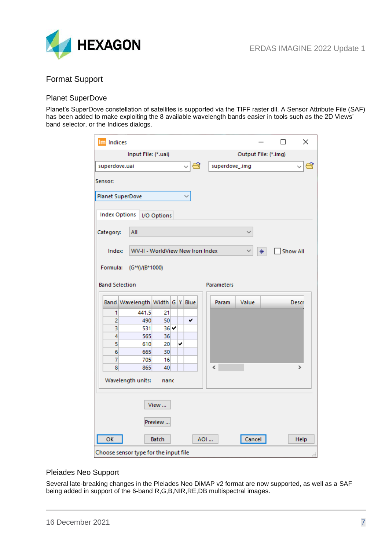

### <span id="page-6-0"></span>Format Support

#### <span id="page-6-1"></span>Planet SuperDove

Planet's SuperDove constellation of satellites is supported via the TIFF raster dll. A Sensor Attribute File (SAF) has been added to make exploiting the 8 available wavelength bands easier in tools such as the 2D Views' band selector, or the Indices dialogs.

| Im Indices |                                       |              |   |     |                   |                      |   | п | ×               |
|------------|---------------------------------------|--------------|---|-----|-------------------|----------------------|---|---|-----------------|
|            | Input File: (*.uai)                   |              |   |     |                   | Output File: (*.img) |   |   |                 |
|            | superdove.uai                         |              |   | €   | superdove_.img    |                      |   |   |                 |
| Sensor:    |                                       |              |   |     |                   |                      |   |   |                 |
|            | <b>Planet SuperDove</b>               |              |   |     |                   |                      |   |   |                 |
|            | <b>Index Options</b>                  | I/O Options  |   |     |                   |                      |   |   |                 |
| Category:  | All                                   |              |   |     |                   |                      |   |   |                 |
| Index:     | WV-II - WorldView New Iron Index      |              |   |     |                   |                      | ₩ |   | <b>Show All</b> |
| Formula:   | (G*Y)/(B*1000)                        |              |   |     |                   |                      |   |   |                 |
|            | <b>Band Selection</b>                 |              |   |     | <b>Parameters</b> |                      |   |   |                 |
|            |                                       |              |   |     |                   |                      |   |   |                 |
|            | Band Wavelength Width G Y Blue        |              |   |     | Param             | Value                |   |   | Descr           |
| 1          | 441.5                                 | 21           |   |     |                   |                      |   |   |                 |
| 2          | 490                                   | 50           |   | ✔   |                   |                      |   |   |                 |
| 3          | 531                                   | $36 -$       |   |     |                   |                      |   |   |                 |
| 4<br>5     | 565                                   | 36           |   |     |                   |                      |   |   |                 |
| 6          | 610<br>665                            | 20<br>30     | ✓ |     |                   |                      |   |   |                 |
| 7          | 705                                   | 16           |   |     |                   |                      |   |   |                 |
| 8          | 865                                   | 40           |   |     | ∢                 |                      |   |   | $\rightarrow$   |
|            | Wavelength units:                     | nanc         |   |     |                   |                      |   |   |                 |
|            |                                       | View         |   |     |                   |                      |   |   |                 |
|            |                                       | Preview      |   |     |                   |                      |   |   |                 |
| OK         |                                       | <b>Batch</b> |   | AOI |                   | Cancel               |   |   | Help            |
|            | Choose sensor type for the input file |              |   |     |                   |                      |   |   |                 |

#### <span id="page-6-2"></span>Pleiades Neo Support

Several late-breaking changes in the Pleiades Neo DiMAP v2 format are now supported, as well as a SAF being added in support of the 6-band R,G,B,NIR,RE,DB multispectral images.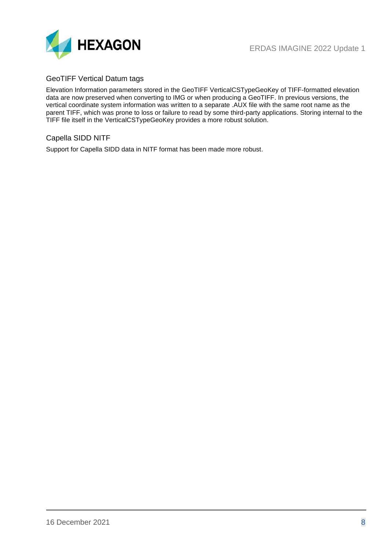

#### <span id="page-7-0"></span>GeoTIFF Vertical Datum tags

Elevation Information parameters stored in the GeoTIFF VerticalCSTypeGeoKey of TIFF-formatted elevation data are now preserved when converting to IMG or when producing a GeoTIFF. In previous versions, the vertical coordinate system information was written to a separate .AUX file with the same root name as the parent TIFF, which was prone to loss or failure to read by some third-party applications. Storing internal to the TIFF file itself in the VerticalCSTypeGeoKey provides a more robust solution.

#### <span id="page-7-1"></span>Capella SIDD NITF

Support for Capella SIDD data in NITF format has been made more robust.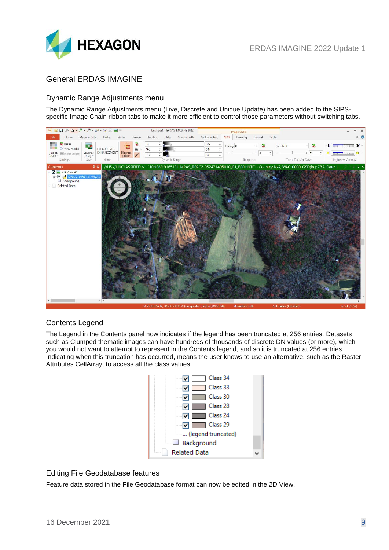

## <span id="page-8-0"></span>General ERDAS IMAGINE

#### <span id="page-8-1"></span>Dynamic Range Adjustments menu

The Dynamic Range Adjustments menu (Live, Discrete and Unique Update) has been added to the SIPSspecific Image Chain ribbon tabs to make it more efficient to control those parameters without switching tabs.



#### <span id="page-8-2"></span>Contents Legend

The Legend in the Contents panel now indicates if the legend has been truncated at 256 entries. Datasets such as Clumped thematic images can have hundreds of thousands of discrete DN values (or more), which you would not want to attempt to represent in the Contents legend, and so it is truncated at 256 entries. Indicating when this truncation has occurred, means the user knows to use an alternative, such as the Raster Attributes CellArray, to access all the class values.



#### <span id="page-8-3"></span>Editing File Geodatabase features

Feature data stored in the File Geodatabase format can now be edited in the 2D View.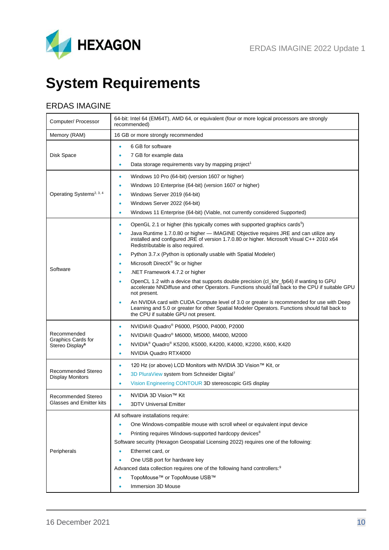

# <span id="page-9-0"></span>**System Requirements**

## <span id="page-9-1"></span>ERDAS IMAGINE

| Computer/ Processor                                                     | 64-bit: Intel 64 (EM64T), AMD 64, or equivalent (four or more logical processors are strongly<br>recommended)                                                                                                                                                                                                                                                                                                                                                                                                               |  |  |  |  |  |  |
|-------------------------------------------------------------------------|-----------------------------------------------------------------------------------------------------------------------------------------------------------------------------------------------------------------------------------------------------------------------------------------------------------------------------------------------------------------------------------------------------------------------------------------------------------------------------------------------------------------------------|--|--|--|--|--|--|
| Memory (RAM)                                                            | 16 GB or more strongly recommended                                                                                                                                                                                                                                                                                                                                                                                                                                                                                          |  |  |  |  |  |  |
| Disk Space                                                              | 6 GB for software<br>7 GB for example data<br>٠<br>Data storage requirements vary by mapping project <sup>1</sup><br>٠                                                                                                                                                                                                                                                                                                                                                                                                      |  |  |  |  |  |  |
| Operating Systems <sup>2, 3, 4</sup>                                    | Windows 10 Pro (64-bit) (version 1607 or higher)<br>٠<br>Windows 10 Enterprise (64-bit) (version 1607 or higher)<br>Windows Server 2019 (64-bit)<br>٠<br>Windows Server 2022 (64-bit)<br>٠<br>Windows 11 Enterprise (64-bit) (Viable, not currently considered Supported)<br>٠                                                                                                                                                                                                                                              |  |  |  |  |  |  |
| Software                                                                | OpenGL 2.1 or higher (this typically comes with supported graphics cards <sup>5</sup> )<br>۰<br>Java Runtime 1.7.0.80 or higher - IMAGINE Objective requires JRE and can utilize any<br>٠<br>installed and configured JRE of version 1.7.0.80 or higher. Microsoft Visual C++ 2010 x64<br>Redistributable is also required.<br>Python 3.7.x (Python is optionally usable with Spatial Modeler)                                                                                                                              |  |  |  |  |  |  |
|                                                                         | Microsoft DirectX® 9c or higher<br>٠<br>.NET Framework 4.7.2 or higher<br>OpenCL 1.2 with a device that supports double precision (cl_khr_fp64) if wanting to GPU<br>accelerate NNDiffuse and other Operators. Functions should fall back to the CPU if suitable GPU<br>not present.<br>An NVIDIA card with CUDA Compute level of 3.0 or greater is recommended for use with Deep<br>Learning and 5.0 or greater for other Spatial Modeler Operators. Functions should fall back to<br>the CPU if suitable GPU not present. |  |  |  |  |  |  |
| Recommended<br><b>Graphics Cards for</b><br>Stereo Display <sup>6</sup> | NVIDIA® Quadro® P6000, P5000, P4000, P2000<br>$\bullet$<br>NVIDIA® Quadro® M6000, M5000, M4000, M2000<br>٠<br>NVIDIA <sup>®</sup> Quadro® K5200, K5000, K4200, K4000, K2200, K600, K420<br>NVIDIA Quadro RTX4000<br>٠                                                                                                                                                                                                                                                                                                       |  |  |  |  |  |  |
| Recommended Stereo<br><b>Display Monitors</b>                           | 120 Hz (or above) LCD Monitors with NVIDIA 3D Vision™ Kit, or<br>۰<br>3D PluraView system from Schneider Digital7<br>Vision Engineering CONTOUR 3D stereoscopic GIS display                                                                                                                                                                                                                                                                                                                                                 |  |  |  |  |  |  |
| Recommended Stereo<br>Glasses and Emitter kits                          | NVIDIA 3D Vision™ Kit<br>3DTV Universal Emitter                                                                                                                                                                                                                                                                                                                                                                                                                                                                             |  |  |  |  |  |  |
| Peripherals                                                             | All software installations require:<br>One Windows-compatible mouse with scroll wheel or equivalent input device<br>Printing requires Windows-supported hardcopy devices <sup>8</sup><br>Software security (Hexagon Geospatial Licensing 2022) requires one of the following:<br>Ethernet card, or<br>One USB port for hardware key<br>Advanced data collection requires one of the following hand controllers: <sup>9</sup><br>TopoMouse™ or TopoMouse USB™<br>Immersion 3D Mouse                                          |  |  |  |  |  |  |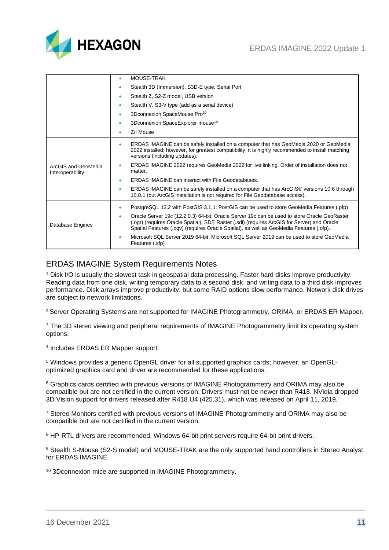

|                                         | <b>MOUSE-TRAK</b><br>٠                                                                                                                                                                                                                                                                    |
|-----------------------------------------|-------------------------------------------------------------------------------------------------------------------------------------------------------------------------------------------------------------------------------------------------------------------------------------------|
|                                         | Stealth 3D (Immersion), S3D-E type, Serial Port<br>٠                                                                                                                                                                                                                                      |
|                                         | Stealth Z, S2-Z model, USB version<br>٠                                                                                                                                                                                                                                                   |
|                                         | Stealth V, S3-V type (add as a serial device)<br>٠                                                                                                                                                                                                                                        |
|                                         | 3Dconnexion SpaceMouse Pro <sup>10</sup><br>٠                                                                                                                                                                                                                                             |
|                                         | 3Dconnexion SpaceExplorer mouse <sup>10</sup><br>٠                                                                                                                                                                                                                                        |
|                                         | Z/I Mouse<br>۰                                                                                                                                                                                                                                                                            |
| ArcGIS and GeoMedia<br>Interoperability | ERDAS IMAGINE can be safely installed on a computer that has GeoMedia 2020 or GeoMedia<br>۰<br>2022 installed; however, for greatest compatibility, it is highly recommended to install matching<br>versions (including updates).                                                         |
|                                         | ERDAS IMAGINE 2022 requires GeoMedia 2022 for live linking. Order of installation does not<br>٠<br>matter.                                                                                                                                                                                |
|                                         | <b>ERDAS IMAGINE can interact with File Geodatabases.</b><br>٠                                                                                                                                                                                                                            |
|                                         | ERDAS IMAGINE can be safely installed on a computer that has ArcGIS® versions 10.6 through<br>٠<br>10.8.1 (but ArcGIS installation is not required for File Geodatabase access).                                                                                                          |
| Database Engines                        | PostgreSQL 13.2 with PostGIS 3.1.1: PostGIS can be used to store GeoMedia Features (.pfp)<br>۰                                                                                                                                                                                            |
|                                         | Oracle Server 19c (12.2.0.3) 64-bit: Oracle Server 19c can be used to store Oracle GeoRaster<br>٠<br>ogr) (requires Oracle Spatial), SDE Raster (.sdi) (requires ArcGIS for Server) and Oracle<br>Spatial Features (.ogv) (requires Oracle Spatial), as well as GeoMedia Features (.ofp). |
|                                         | Microsoft SQL Server 2019 64-bit: Microsoft SQL Server 2019 can be used to store GeoMedia<br>٠<br>Features (.sfp)                                                                                                                                                                         |

## <span id="page-10-0"></span>ERDAS IMAGINE System Requirements Notes

<sup>1</sup> Disk I/O is usually the slowest task in geospatial data processing. Faster hard disks improve productivity. Reading data from one disk, writing temporary data to a second disk, and writing data to a third disk improves performance. Disk arrays improve productivity, but some RAID options slow performance. Network disk drives are subject to network limitations.

<sup>2</sup> Server Operating Systems are not supported for IMAGINE Photogrammetry, ORIMA, or ERDAS ER Mapper.

<sup>3</sup> The 3D stereo viewing and peripheral requirements of IMAGINE Photogrammetry limit its operating system options.

4 Includes ERDAS ER Mapper support.

<sup>5</sup> Windows provides a generic OpenGL driver for all supported graphics cards; however, an OpenGLoptimized graphics card and driver are recommended for these applications.

<sup>6</sup> Graphics cards certified with previous versions of IMAGINE Photogrammetry and ORIMA may also be compatible but are not certified in the current version. Drivers must not be newer than R418. NVidia dropped 3D Vision support for drivers released after R418 U4 (425.31), which was released on April 11, 2019.

<sup>7</sup> Stereo Monitors certified with previous versions of IMAGINE Photogrammetry and ORIMA may also be compatible but are not certified in the current version.

<sup>8</sup> HP-RTL drivers are recommended. Windows 64-bit print servers require 64-bit print drivers.

9 Stealth S-Mouse (S2-S model) and MOUSE-TRAK are the only supported hand controllers in Stereo Analyst for ERDAS IMAGINE.

<sup>10</sup> 3Dconnexion mice are supported in IMAGINE Photogrammetry.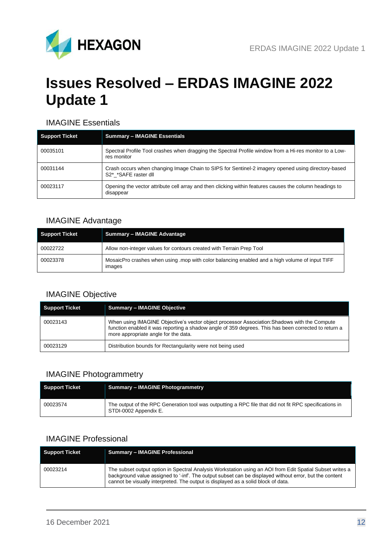

## <span id="page-11-0"></span>**Issues Resolved – ERDAS IMAGINE 2022 Update 1**

### <span id="page-11-1"></span>IMAGINE Essentials

| <b>Support Ticket</b> | <b>Summary - IMAGINE Essentials</b>                                                                                        |
|-----------------------|----------------------------------------------------------------------------------------------------------------------------|
| 00035101              | Spectral Profile Tool crashes when dragging the Spectral Profile window from a Hi-res monitor to a Low-<br>res monitor     |
| 00031144              | Crash occurs when changing Image Chain to SIPS for Sentinel-2 imagery opened using directory-based<br>S2* *SAFE raster dll |
| 00023117              | Opening the vector attribute cell array and then clicking within features causes the column headings to<br>disappear       |

## <span id="page-11-2"></span>IMAGINE Advantage

| Support Ticket | <b>Summary - IMAGINE Advantage</b>                                                                      |
|----------------|---------------------------------------------------------------------------------------------------------|
| 00022722       | Allow non-integer values for contours created with Terrain Prep Tool                                    |
| 00023378       | MosaicPro crashes when using mop with color balancing enabled and a high volume of input TIFF<br>images |

## <span id="page-11-3"></span>IMAGINE Objective

| <b>Support Ticket</b> | <b>Summary - IMAGINE Objective</b>                                                                                                                                                                                                           |
|-----------------------|----------------------------------------------------------------------------------------------------------------------------------------------------------------------------------------------------------------------------------------------|
| 00023143              | When using IMAGINE Objective's vector object processor Association: Shadows with the Compute<br>function enabled it was reporting a shadow angle of 359 degrees. This has been corrected to return a<br>more appropriate angle for the data. |
| 00023129              | Distribution bounds for Rectangularity were not being used                                                                                                                                                                                   |

## <span id="page-11-4"></span>IMAGINE Photogrammetry

| <b>Support Ticket</b> | <b>Summary - IMAGINE Photogrammetry</b>                                                                                         |
|-----------------------|---------------------------------------------------------------------------------------------------------------------------------|
| 00023574              | The output of the RPC Generation tool was outputting a RPC file that did not fit RPC specifications in<br>STDI-0002 Appendix E. |

#### <span id="page-11-5"></span>IMAGINE Professional

| <b>Support Ticket</b> | <b>Summary - IMAGINE Professional</b>                                                                                                                                                                                                                                                                   |
|-----------------------|---------------------------------------------------------------------------------------------------------------------------------------------------------------------------------------------------------------------------------------------------------------------------------------------------------|
| 00023214              | The subset output option in Spectral Analysis Workstation using an AOI from Edit Spatial Subset writes a<br>background value assigned to '-inf'. The output subset can be displayed without error, but the content<br>cannot be visually interpreted. The output is displayed as a solid block of data. |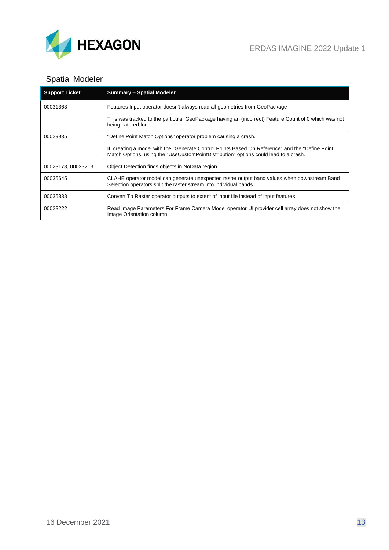

## <span id="page-12-0"></span>Spatial Modeler

| <b>Support Ticket</b> | <b>Summary - Spatial Modeler</b>                                                                                                                                                         |
|-----------------------|------------------------------------------------------------------------------------------------------------------------------------------------------------------------------------------|
| 00031363              | Features Input operator doesn't always read all geometries from GeoPackage                                                                                                               |
|                       | This was tracked to the particular GeoPackage having an (incorrect) Feature Count of 0 which was not<br>being catered for.                                                               |
| 00029935              | "Define Point Match Options" operator problem causing a crash.                                                                                                                           |
|                       | If creating a model with the "Generate Control Points Based On Reference" and the "Define Point"<br>Match Options, using the "UseCustomPointDistribution" options could lead to a crash. |
| 00023173, 00023213    | Object Detection finds objects in NoData region                                                                                                                                          |
| 00035645              | CLAHE operator model can generate unexpected raster output band values when downstream Band<br>Selection operators split the raster stream into individual bands.                        |
| 00035338              | Convert To Raster operator outputs to extent of input file instead of input features                                                                                                     |
| 00023222              | Read Image Parameters For Frame Camera Model operator UI provider cell array does not show the<br>Image Orientation column.                                                              |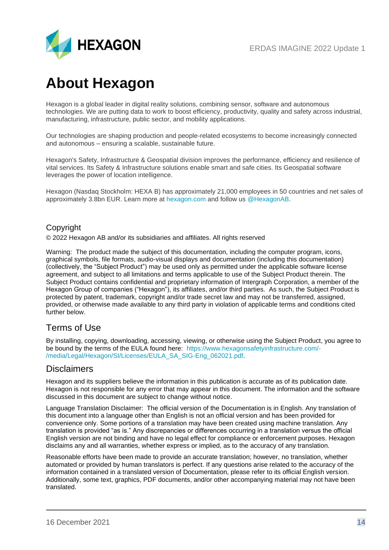

## <span id="page-13-0"></span>**About Hexagon**

Hexagon is a global leader in digital reality solutions, combining sensor, software and autonomous technologies. We are putting data to work to boost efficiency, productivity, quality and safety across industrial, manufacturing, infrastructure, public sector, and mobility applications.

Our technologies are shaping production and people-related ecosystems to become increasingly connected and autonomous – ensuring a scalable, sustainable future.

Hexagon's Safety, Infrastructure & Geospatial division improves the performance, efficiency and resilience of vital services. Its Safety & Infrastructure solutions enable smart and safe cities. Its Geospatial software leverages the power of location intelligence.

Hexagon (Nasdaq Stockholm: HEXA B) has approximately 21,000 employees in 50 countries and net sales of approximately 3.8bn EUR. Learn more at [hexagon.com](https://hexagon.com/) and follow us [@HexagonAB.](https://twitter.com/hexagonab)

#### Copyright

© 2022 Hexagon AB and/or its subsidiaries and affiliates. All rights reserved

Warning: The product made the subject of this documentation, including the computer program, icons, graphical symbols, file formats, audio-visual displays and documentation (including this documentation) (collectively, the "Subject Product") may be used only as permitted under the applicable software license agreement, and subject to all limitations and terms applicable to use of the Subject Product therein. The Subject Product contains confidential and proprietary information of Intergraph Corporation, a member of the Hexagon Group of companies ("Hexagon"), its affiliates, and/or third parties. As such, the Subject Product is protected by patent, trademark, copyright and/or trade secret law and may not be transferred, assigned, provided, or otherwise made available to any third party in violation of applicable terms and conditions cited further below.

## Terms of Use

By installing, copying, downloading, accessing, viewing, or otherwise using the Subject Product, you agree to be bound by the terms of the EULA found here: [https://www.hexagonsafetyinfrastructure.com/-](https://www.hexagonsafetyinfrastructure.com/-/media/Legal/Hexagon/SI/Licenses/EULA_SA_SIG-Eng_062021.pdf) [/media/Legal/Hexagon/SI/Licenses/EULA\\_SA\\_SIG-Eng\\_062021.pdf.](https://www.hexagonsafetyinfrastructure.com/-/media/Legal/Hexagon/SI/Licenses/EULA_SA_SIG-Eng_062021.pdf)

## **Disclaimers**

Hexagon and its suppliers believe the information in this publication is accurate as of its publication date. Hexagon is not responsible for any error that may appear in this document. The information and the software discussed in this document are subject to change without notice.

Language Translation Disclaimer: The official version of the Documentation is in English. Any translation of this document into a language other than English is not an official version and has been provided for convenience only. Some portions of a translation may have been created using machine translation. Any translation is provided "as is." Any discrepancies or differences occurring in a translation versus the official English version are not binding and have no legal effect for compliance or enforcement purposes. Hexagon disclaims any and all warranties, whether express or implied, as to the accuracy of any translation.

Reasonable efforts have been made to provide an accurate translation; however, no translation, whether automated or provided by human translators is perfect. If any questions arise related to the accuracy of the information contained in a translated version of Documentation, please refer to its official English version. Additionally, some text, graphics, PDF documents, and/or other accompanying material may not have been translated.